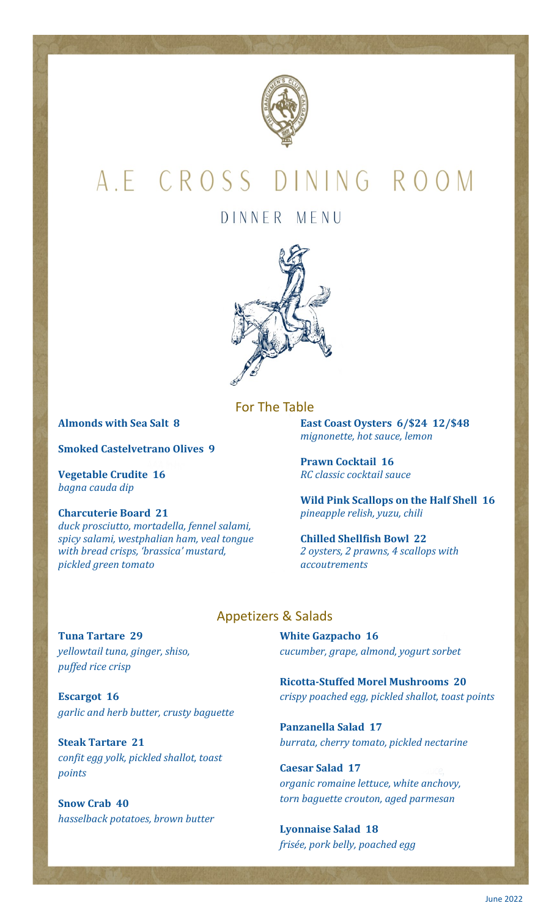

# A.E CROSS DINING ROOM

## DINNER MENU



### For The Table

**Almonds with Sea Salt 8**

**Smoked Castelvetrano Olives 9**

**Vegetable Crudite 16** *bagna cauda dip*

#### **Charcuterie Board 21**

*duck prosciutto, mortadella, fennel salami, spicy salami, westphalian ham, veal tongue with bread crisps, 'brassica' mustard, pickled green tomato*

**East Coast Oysters 6/\$24 12/\$48** *mignonette, hot sauce, lemon*

**Prawn Cocktail 16** *RC classic cocktail sauce*

**Wild Pink Scallops on the Half Shell 16** *pineapple relish, yuzu, chili*

**Chilled Shellfish Bowl 22** *2 oysters, 2 prawns, 4 scallops with accoutrements*

### Appetizers & Salads

**Tuna Tartare 29** *yellowtail tuna, ginger, shiso, puffed rice crisp*

**Escargot 16** *garlic and herb butter, crusty baguette*

**Steak Tartare 21** *confit egg yolk, pickled shallot, toast points*

**Snow Crab 40** *hasselback potatoes, brown butter* **White Gazpacho 16** *cucumber, grape, almond, yogurt sorbet*

**Ricotta-Stuffed Morel Mushrooms 20** *crispy poached egg, pickled shallot, toast points*

**Panzanella Salad 17** *burrata, cherry tomato, pickled nectarine*

**Caesar Salad 17** *organic romaine lettuce, white anchovy, torn baguette crouton, aged parmesan*

**Lyonnaise Salad 18** *frisée, pork belly, poached egg*